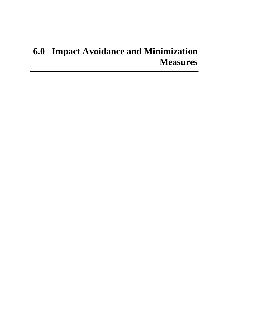# **6.0 Impact Avoidance and Minimization Measures**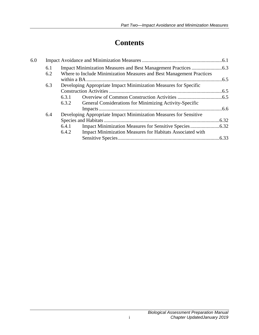# **Contents**

| 6.0 |     |                                                                   |                                                                      |  |
|-----|-----|-------------------------------------------------------------------|----------------------------------------------------------------------|--|
|     | 6.1 |                                                                   |                                                                      |  |
|     | 6.2 |                                                                   | Where to Include Minimization Measures and Best Management Practices |  |
|     |     |                                                                   |                                                                      |  |
|     | 6.3 |                                                                   | Developing Appropriate Impact Minimization Measures for Specific     |  |
|     |     |                                                                   |                                                                      |  |
|     |     | 6.3.1                                                             |                                                                      |  |
|     |     | 6.3.2                                                             | General Considerations for Minimizing Activity-Specific              |  |
|     |     |                                                                   |                                                                      |  |
|     | 6.4 | Developing Appropriate Impact Minimization Measures for Sensitive |                                                                      |  |
|     |     |                                                                   |                                                                      |  |
|     |     | 6.4.1                                                             |                                                                      |  |
|     |     | 6.4.2                                                             | Impact Minimization Measures for Habitats Associated with            |  |
|     |     |                                                                   |                                                                      |  |
|     |     |                                                                   |                                                                      |  |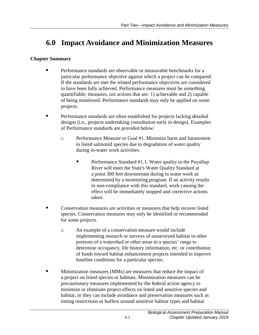# <span id="page-4-0"></span>**6.0 Impact Avoidance and Minimization Measures**

### **Chapter Summary**

- Performance standards are observable or measurable benchmarks for a particular performance objective against which a project can be compared. If the standards are met the related performance objectives are considered to have been fully achieved. Performance measures must be something quantifiable; measures, not actions that are: 1) achievable and 2) capable of being monitored. Performance standards may only be applied on some projects.
- **Performance standards are often established for projects lacking detailed** designs (i.e., projects undertaking consultation early in design). Examples of Performance standards are provided below:
	- **Performance Measure or Goal #1. Minimize harm and harassment** to listed salmonid species due to degradation of water quality during in-water work activities.
		- **Performance Standard #1.1. Water quality in the Puyallup** River will meet the State's Water Quality Standard at a point 300 feet downstream during in water work as determined by a monitoring program. If an activity results in non-compliance with this standard, work causing the effect will be immediately stopped and corrective actions taken.
- Conservation measures are activities or measures that help recover listed species. Conservation measures may only be identified or recommended for some projects.
	- An example of a conservation measure would include implementing research or surveys of unsurveyed habitat in other portions of a watershed or other areas in a species' range to determine occupancy, life history information, etc. or contribution of funds toward habitat enhancement projects intended to improve baseline conditions for a particular species.
- **Minimization measures (MMs) are measures that reduce the impact of** a project on listed species or habitats. Minimization measures can be precautionary measures implemented by the federal action agency to minimize or eliminate project effects on listed and sensitive species and habitat, or they can include avoidance and preservation measures such as timing restrictions or buffers around sensitive habitat types and habitat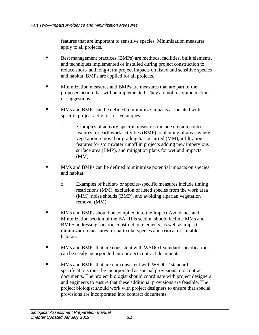features that are important to sensitive species. Minimization measures apply to all projects.

- Best management practices (BMPs) are methods, facilities, built elements, and techniques implemented or installed during project construction to reduce short- and long-term project impacts on listed and sensitive species and habitat. BMPs are applied for all projects.
- Minimization measures and BMPs are measures that are part of the proposed action that will be implemented. They are not recommendations or suggestions.
- **MMs** and BMPs can be defined to minimize impacts associated with specific project activities or techniques.
	- Examples of activity-specific measures include erosion control features for earthwork activities (BMP), replanting of areas where vegetation removal or grading has occurred (MM), infiltration features for stormwater runoff in projects adding new impervious surface area (BMP), and mitigation plans for wetland impacts (MM).
- MMs and BMPs can be defined to minimize potential impacts on species and habitat.
	- Examples of habitat- or species-specific measures include timing restrictions (MM), exclusion of listed species from the work area (MM), noise shields (BMP), and avoiding riparian vegetation removal (MM).
- **MMs** and BMPs should be compiled into the Impact Avoidance and Minimization section of the BA. This section should include MMs and BMPS addressing specific construction elements, as well as impact minimization measures for particular species and critical or suitable habitats.
- **MMs** and BMPs that are consistent with WSDOT standard specifications can be easily incorporated into project contract documents.
- **MMs** and BMPs that are not consistent with WSDOT standard specifications must be incorporated as special provisions into contract documents. The project biologist should coordinate with project designers and engineers to ensure that these additional provisions are feasible. The project biologist should work with project designers to ensure that special provisions are incorporated into contract documents.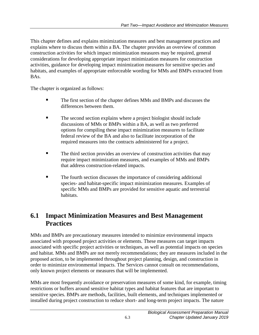This chapter defines and explains minimization measures and best management practices and explains where to discuss them within a BA. The chapter provides an overview of common construction activities for which impact minimization measures may be required, general considerations for developing appropriate impact minimization measures for construction activities, guidance for developing impact minimization measures for sensitive species and habitats, and examples of appropriate enforceable wording for MMs and BMPs extracted from BAs.

The chapter is organized as follows:

- The first section of the chapter defines MMs and BMPs and discusses the differences between them.
- The second section explains where a project biologist should include discussions of MMs or BMPs within a BA, as well as two preferred options for compiling these impact minimization measures to facilitate federal review of the BA and also to facilitate incorporation of the required measures into the contracts administered for a project.
- The third section provides an overview of construction activities that may require impact minimization measures, and examples of MMs and BMPs that address construction-related impacts.
- The fourth section discusses the importance of considering additional species- and habitat-specific impact minimization measures. Examples of specific MMs and BMPs are provided for sensitive aquatic and terrestrial habitats.

# <span id="page-6-0"></span>**6.1 Impact Minimization Measures and Best Management Practices**

MMs and BMPs are precautionary measures intended to minimize environmental impacts associated with proposed project activities or elements. These measures can target impacts associated with specific project activities or techniques, as well as potential impacts on species and habitat. MMs and BMPs are not merely recommendations; they are measures included in the proposed action, to be implemented throughout project planning, design, and construction in order to minimize environmental impacts. The Services cannot consult on recommendations, only known project elements or measures that will be implemented.

MMs are most frequently avoidance or preservation measures of some kind, for example, timing restrictions or buffers around sensitive habitat types and habitat features that are important to sensitive species. BMPs are methods, facilities, built elements, and techniques implemented or installed during project construction to reduce short- and long-term project impacts. The nature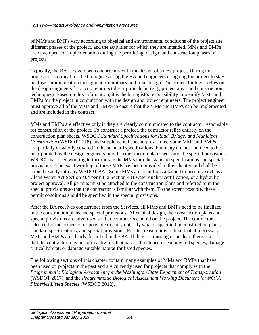of MMs and BMPs vary according to physical and environmental conditions of the project site, different phases of the project, and the activities for which they are intended. MMs and BMPs are developed for implementation during the permitting, design, and construction phases of projects.

Typically, the BA is developed concurrently with the design of a new project. During this process, it is critical for the biologist writing the BA and engineers designing the project to stay in close communication throughout preliminary and final design. The project biologist relies on the design engineers for accurate project description detail (e.g., project areas and construction techniques). Based on this information, it is the biologist's responsibility to identify MMs and BMPs for the project in conjunction with the design and project engineers. The project engineer must approve all of the MMs and BMPS to ensure that the MMs and BMPs can be implemented and are included in the contract.

MMs and BMPs are effective only if they are clearly communicated to the contractor responsible for construction of the project. To construct a project, the contractor relies entirely on the construction plan sheets, WSDOT *Standard Specifications for Road, Bridge, and Municipal Construction* (WSDOT 2018), and supplemental special provisions. Some MMs and BMPs are partially or wholly covered in the standard specifications, but many are not and need to be incorporated by the design engineers into the construction plan sheets and the special provisions. WSDOT has been working to incorporate the MMs into the standard specifications and special provisions. The exact wording of those MMs has been provided in this chapter and shall be copied exactly into any WSDOT BA. Some MMs are conditions attached to permits, such as a Clean Water Act Section 404 permit, a Section 401 water quality certification, or a hydraulic project approval. All permits must be attached to the construction plans and referred to in the special provisions so that the contractor is familiar with them. To the extent possible, these permit conditions should be specified in the special provisions.

After the BA receives concurrence from the Services, all MMs and BMPs need to be finalized in the construction plans and special provisions. After final design, the construction plans and special provisions are advertised so that contractors can bid on the project. The contractor selected for the project is responsible to carry out only what is specified in construction plans, standard specifications, and special provisions. For this reason, it is critical that all necessary MMs and BMPs are clearly described in the BA. If they are missing or unclear, there is a risk that the contractor may perform activities that harass threatened or endangered species, damage critical habitat, or damage suitable habitat for listed species.

The following sections of this chapter contain many examples of MMs and BMPs that have been used on projects in the past and are currently used for projects that comply with the *Programmatic Biological Assessment for the Washington State Department of Transportation*  (WSDOT 2017), and the *Programmatic Biological Assessment Working Document for NOAA Fisheries Listed Species* (WSDOT 2012).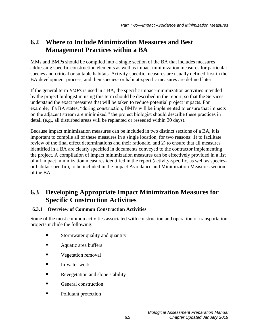# <span id="page-8-0"></span>**6.2 Where to Include Minimization Measures and Best Management Practices within a BA**

MMs and BMPs should be compiled into a single section of the BA that includes measures addressing specific construction elements as well as impact minimization measures for particular species and critical or suitable habitats. Activity-specific measures are usually defined first in the BA development process, and then species- or habitat-specific measures are defined later.

If the general term *BMPs* is used in a BA, the specific impact-minimization activities intended by the project biologist in using this term should be described in the report, so that the Services understand the exact measures that will be taken to reduce potential project impacts. For example, if a BA states, "during construction, BMPs will be implemented to ensure that impacts on the adjacent stream are minimized," the project biologist should describe these practices in detail (e.g., all disturbed areas will be replanted or reseeded within 30 days).

Because impact minimization measures can be included in two distinct sections of a BA, it is important to compile all of these measures in a single location, for two reasons: 1) to facilitate review of the final effect determinations and their rationale, and 2) to ensure that all measures identified in a BA are clearly specified in documents conveyed to the contractor implementing the project. A compilation of impact minimization measures can be effectively provided in a list of all impact minimization measures identified in the report (activity-specific, as well as speciesor habitat-specific), to be included in the Impact Avoidance and Minimization Measures section of the BA.

# <span id="page-8-1"></span>**6.3 Developing Appropriate Impact Minimization Measures for Specific Construction Activities**

# <span id="page-8-2"></span>**6.3.1 Overview of Common Construction Activities**

Some of the most common activities associated with construction and operation of transportation projects include the following:

- **Stormwater quality and quantity**
- Aquatic area buffers
- **vegetation removal**
- **I**n-water work
- Revegetation and slope stability
- General construction
- Pollutant protection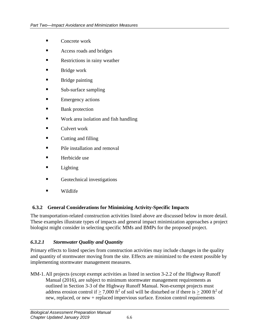- Concrete work
- **Access roads and bridges**
- **Restrictions in rainy weather**
- **Bridge work**
- **Bridge painting**
- Sub-surface sampling
- **Emergency actions**
- **Bank** protection
- **Work area isolation and fish handling**
- $\blacksquare$  Culvert work
- **Cutting and filling**
- **Pile installation and removal**
- $\blacksquare$  Herbicide use
- **Lighting**
- Geotechnical investigations
- Wildlife

# <span id="page-9-0"></span>**6.3.2 General Considerations for Minimizing Activity-Specific Impacts**

The transportation-related construction activities listed above are discussed below in more detail. These examples illustrate types of impacts and general impact minimization approaches a project biologist might consider in selecting specific MMs and BMPs for the proposed project.

# *6.3.2.1 Stormwater Quality and Quantity*

Primary effects to listed species from construction activities may include changes in the quality and quantity of stormwater moving from the site. Effects are minimized to the extent possible by implementing stormwater management measures.

MM-1.All projects (except exempt activities as listed in section 3-2.2 of the Highway Runoff Manual (2016), are subject to minimum stormwater management requirements as outlined in Section 3-3 of the Highway Runoff Manual. Non-exempt projects must address erosion control if  $\geq 7,000$  ft<sup>2</sup> of soil will be disturbed or if there is  $\geq 2000$  ft<sup>2</sup> of new, replaced, or new + replaced impervious surface. Erosion control requirements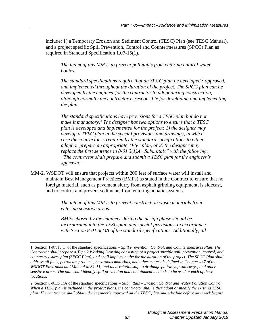include: 1) a Temporary Erosion and Sediment Control (TESC) Plan (see TESC Manual), and a project specific Spill Prevention, Control and Countermeasures (SPCC) Plan as required in Standard Specification 1.07-15(1).

*The intent of this MM is to prevent pollutants from entering natural water bodies.*

*The standard specifications require that an SPCC plan be developed,<sup>1</sup> approved, and implemented throughout the duration of the project. The SPCC plan can be developed by the engineer for the contractor to adopt during construction, although normally the contractor is responsible for developing and implementing the plan.*

*The standard specifications have provisions for a TESC plan but do not make it mandatory.<sup>2</sup> The designer has two options to ensure that a TESC plan is developed and implemented for the project: 1) the designer may develop a TESC plan in the special provisions and drawings, in which case the contractor is required by the standard specifications to either adopt or prepare an appropriate TESC plan, or 2) the designer may replace the first sentence in 8-01.3(1)A "Submittals" with the following: "The contractor shall prepare and submit a TESC plan for the engineer's approval."*

MM-2. WSDOT will ensure that projects within 200 feet of surface water will install and maintain Best Management Practices (BMPs) as stated in the Contract to ensure that no foreign material, such as pavement slurry from asphalt grinding equipment, is sidecast, and to control and prevent sediments from entering aquatic systems.

> *The intent of this MM is to prevent construction waste materials from entering sensitive areas.*

*BMPs chosen by the engineer during the design phase should be incorporated into the TESC plan and special provisions, in accordance with Section 8-01.3(1)A of the standard specifications. Additionally, all* 

 $\overline{a}$ 

<sup>1.</sup> Section 1-07.15(1) of the standard specifications – *Spill Prevention, Control, and Countermeasures Plan*: *The Contractor shall prepare a Type 2 Working Drawing consisting of a project specific spill prevention, control, and countermeasures plan (SPCC Plan), and shall implement the for the duration of the project. The SPCC Plan shall address all fuels, petroleum products, hazardous materials, and other materials defined in Chapter 447 of the WSDOT Environmental Manual M 31-11, and their relationship to drainage pathways, waterways, and other sensitive areas. The plan shall identify spill prevention and containment methods to be used at each of these locations*.

<sup>2.</sup> Section 8-01.3(1)A of the standard specifications – *Submittals – Erosion Control and Water Pollution Control*: *When a TESC plan is included in the project plans, the contractor shall either adopt or modify the existing TESC plan. The contractor shall obtain the engineer's approval on the TESC plan and schedule before any work begins.*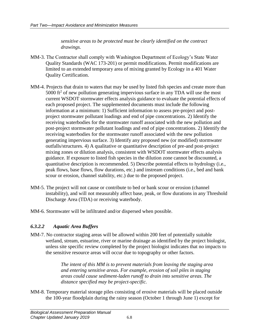*sensitive areas to be protected must be clearly identified on the contract drawings.*

- MM-3. The Contractor shall comply with Washington Department of Ecology's State Water Quality Standards (WAC 173-201) or permit modifications. Permit modifications are limited to an extended temporary area of mixing granted by Ecology in a 401 Water Quality Certification.
- MM-4. Projects that drain to waters that may be used by listed fish species and create more than  $5000$  ft<sup>2</sup> of new pollution generating impervious surface in any TDA will use the most current WSDOT stormwater effects analysis guidance to evaluate the potential effects of each proposed project. The supplemented documents must include the following information at a minimum: 1) Sufficient information to assess pre-project and postproject stormwater pollutant loadings and end of pipe concentrations. 2) Identify the receiving waterbodies for the stormwater runoff associated with the new pollution and post-project stormwater pollutant loadings and end of pipe concentrations. 2) Identify the receiving waterbodies for the stormwater runoff associated with the new pollution generating impervious surface. 3) Identify any proposed new (or modified) stormwater outfalls/structures. 4) A qualitative or quantitative description of pre-and post-project mixing zones or dilution analysis, consistent with WSDOT stormwater effects analysis guidance. If exposure to listed fish species in the dilution zone cannot be discounted, a quantitative description is recommended. 5) Describe potential effects to hydrology (i.e., peak flows, base flows, flow durations, etc.) and instream conditions (i.e., bed and bank scour or erosion, channel stability, etc.) due to the proposed project.
- MM-5. The project will not cause or contribute to bed or bank scour or erosion (channel instability), and will not measurably affect base, peak, or flow durations in any Threshold Discharge Area (TDA) or receiving waterbody.
- MM-6. Stormwater will be infiltrated and/or dispersed when possible.

# *6.3.2.2 Aquatic Area Buffers*

MM-7. No contractor staging areas will be allowed within 200 feet of potentially suitable wetland, stream, estuarine, river or marine drainage as identified by the project biologist, unless site specific review completed by the project biologist indicates that no impacts to the sensitive resource areas will occur due to topography or other factors.

> *The intent of this MM is to prevent materials from leaving the staging area and entering sensitive areas. For example, erosion of soil piles in staging areas could cause sediment-laden runoff to drain into sensitive areas. The distance specified may be project-specific.*

MM-8. Temporary material storage piles consisting of erosive materials will be placed outside the 100-year floodplain during the rainy season (October 1 through June 1) except for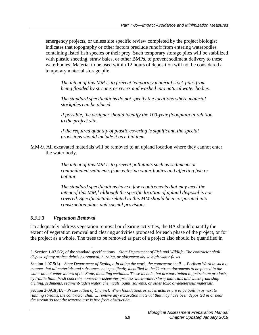emergency projects, or unless site specific review completed by the project biologist indicates that topography or other factors preclude runoff from entering waterbodies containing listed fish species or their prey. Such temporary storage piles will be stabilized with plastic sheeting, straw bales, or other BMPs, to prevent sediment delivery to these waterbodies. Material to be used within 12 hours of deposition will not be considered a temporary material storage pile.

*The intent of this MM is to prevent temporary material stock piles from being flooded by streams or rivers and washed into natural water bodies.*

*The standard specifications do not specify the locations where material stockpiles can be placed.*

*If possible, the designer should identify the 100-year floodplain in relation to the project site.*

*If the required quantity of plastic covering is significant, the special provisions should include it as a bid item.*

MM-9. All excavated materials will be removed to an upland location where they cannot enter the water body.

> *The intent of this MM is to prevent pollutants such as sediments or contaminated sediments from entering water bodies and affecting fish or habitat.*

*The standard specifications have a few requirements that may meet the intent of this MM,<sup>3</sup> although the specific location of upland disposal is not covered. Specific details related to this MM should be incorporated into construction plans and special provisions.*

# *6.3.2.3 Vegetation Removal*

 $\overline{a}$ 

To adequately address vegetation removal or clearing activities, the BA should quantify the extent of vegetation removal and clearing activities proposed for each phase of the project, or for the project as a whole. The trees to be removed as part of a project also should be quantified in

<sup>3.</sup> Section 1-07.5(2) of the standard specifications – *State Department of Fish and Wildlife*: *The contractor shall dispose of any project debris by removal, burning, or placement above high-water flows.*

Section 1-07.5(3) – *State Department of Ecology*: *In doing the work, the contractor shall … Perform Work in such a manner that all materials and substances not specifically identified in the Contract documents to be placed in the water do not enter waters of the State, including wetlands. These include, but are not limited to, petroleum products, hydraulic fluid, fresh concrete, concrete wastewater, process wastewater, slurry materials and waste from shaft drilling, sediments, sediment-laden water, chemicals, paint, solvents, or other toxic or deleterious materials.*

Section 2-09.3(3)A – *Preservation of Channel*: *When foundations or substructures are to be built in or next to running streams, the contractor shall … remove any excavation material that may have been deposited in or near the stream so that the watercourse is free from obstruction*.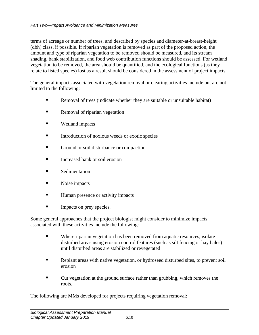terms of acreage or number of trees, and described by species and diameter-at-breast-height (dbh) class, if possible. If riparian vegetation is removed as part of the proposed action, the amount and type of riparian vegetation to be removed should be measured, and its stream shading, bank stabilization, and food web contribution functions should be assessed. For wetland vegetation to be removed, the area should be quantified, and the ecological functions (as they relate to listed species) lost as a result should be considered in the assessment of project impacts.

The general impacts associated with vegetation removal or clearing activities include but are not limited to the following:

- Removal of trees (indicate whether they are suitable or unsuitable habitat)
- **Removal of riparian vegetation**
- Wetland impacts
- Introduction of noxious weeds or exotic species
- **Cround or soil disturbance or compaction**
- Increased bank or soil erosion
- **Sedimentation**
- Noise impacts
- Human presence or activity impacts
- **Impacts on prey species.**

Some general approaches that the project biologist might consider to minimize impacts associated with these activities include the following:

- Where riparian vegetation has been removed from aquatic resources, isolate disturbed areas using erosion control features (such as silt fencing or hay bales) until disturbed areas are stabilized or revegetated
- Replant areas with native vegetation, or hydroseed disturbed sites, to prevent soil erosion
- Cut vegetation at the ground surface rather than grubbing, which removes the roots.

The following are MMs developed for projects requiring vegetation removal: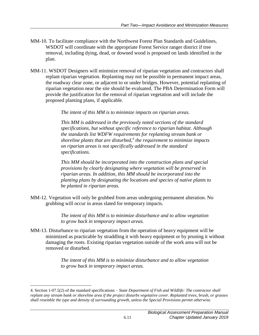- MM-10. To facilitate compliance with the Northwest Forest Plan Standards and Guidelines, WSDOT will coordinate with the appropriate Forest Service ranger district if tree removal, including dying, dead, or downed wood is proposed on lands identified in the plan.
- MM-11. WSDOT Designers will minimize removal of riparian vegetation and contractors shall replant riparian vegetation. Replanting may not be possible in permanent impact areas, the roadway clear zone, or adjacent to or under bridges. However, potential replanting of riparian vegetation near the site should be evaluated. The PBA Determination Form will provide the justification for the removal of riparian vegetation and will include the proposed planting plans, if applicable.

*The intent of this MM is to minimize impacts on riparian areas.*

*This MM is addressed in the previously noted sections of the standard specifications, but without specific reference to riparian habitat. Although the standards list WDFW requirements for replanting stream bank or shoreline plants that are disturbed,<sup>4</sup> the requirement to minimize impacts on riparian areas is not specifically addressed in the standard specifications.*

*This MM should be incorporated into the construction plans and special provisions by clearly designating where vegetation will be preserved in riparian areas. In addition, this MM should be incorporated into the planting plans by designating the locations and species of native plants to be planted in riparian areas.*

MM-12. Vegetation will only be grubbed from areas undergoing permanent alteration. No grubbing will occur in areas slated for temporary impacts.

> *The intent of this MM is to minimize disturbance and to allow vegetation to grow back in temporary impact areas.*

MM-13. Disturbance to riparian vegetation from the operation of heavy equipment will be minimized as practicable by straddling it with heavy equipment or by pruning it without damaging the roots. Existing riparian vegetation outside of the work area will not be removed or disturbed.

> *The intent of this MM is to minimize disturbance and to allow vegetation to grow back in temporary impact areas.*

 $\overline{a}$ 

<sup>4.</sup> Section 1-07.5(2) of the standard specifications *– State Department of Fish and Wildlife: The contractor shall replant any stream bank or shoreline area if the project disturbs vegetative cover. Replanted trees, brush, or grasses shall resemble the type and density of surrounding growth, unless the Special Provisions permit otherwise.*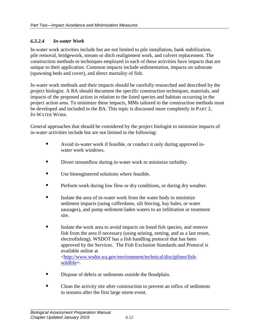#### *6.3.2.4 In-water Work*

In-water work activities include but are not limited to pile installation, bank stabilization, pile removal, bridgework, stream or ditch realignment work, and culvert replacement. The construction methods or techniques employed in each of these activities have impacts that are unique to their application. Common impacts include sedimentation, impacts on substrate (spawning beds and cover), and direct mortality of fish.

In-water work methods and their impacts should be carefully researched and described by the project biologist. A BA should document the specific construction techniques, materials, and impacts of the proposed action in relation to the listed species and habitats occurring in the project action area. To minimize these impacts, MMs tailored to the construction methods must be developed and included in the BA. This topic is discussed more completely in PART 2, IN-WATER WORK.

General approaches that should be considered by the project biologist to minimize impacts of in-water activities include but are not limited to the following:

- Avoid in-water work if feasible, or conduct it only during approved inwater work windows.
- Divert streamflow during in-water work to minimize turbidity.
- Use bioengineered solutions where feasible.
- **Perform work during low flow or dry conditions, or during dry weather.**
- Isolate the area of in-water work from the water body to minimize sediment impacts (using cofferdams, silt fencing, hay bales, or water sausages), and pump sediment-laden waters to an infiltration or treatment site.
- Isolate the work area to avoid impacts on listed fish species, and remove fish from the area if necessary (using seining, netting, and as a last resort, electrofishing). WSDOT has a fish handling protocol that has been approved by the Services. The Fish Exclusion Standards and Protocol is available online at [<http://www.wsdot.wa.gov/environment/technical/disciplines/fish](http://www.wsdot.wa.gov/environment/technical/disciplines/fish-wildlife)[wildlife>](http://www.wsdot.wa.gov/environment/technical/disciplines/fish-wildlife).
- Dispose of debris or sediments outside the floodplain.
- Clean the activity site after construction to prevent an influx of sediments to streams after the first large storm event.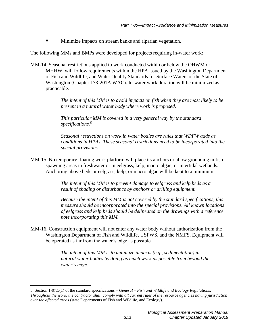**Minimize impacts on stream banks and riparian vegetation.** 

The following MMs and BMPs were developed for projects requiring in-water work:

MM-14. Seasonal restrictions applied to work conducted within or below the OHWM or MHHW, will follow requirements within the HPA issued by the Washington Department of Fish and Wildlife, and Water Quality Standards for Surface Waters of the State of Washington (Chapter 173-201A WAC). In-water work duration will be minimized as practicable.

> *The intent of this MM is to avoid impacts on fish when they are most likely to be present in a natural water body where work is proposed.*

*This particular MM is covered in a very general way by the standard specifications.<sup>5</sup>*

*Seasonal restrictions on work in water bodies are rules that WDFW adds as conditions in HPAs. These seasonal restrictions need to be incorporated into the special provisions.*

MM-15. No temporary floating work platform will place its anchors or allow grounding in fish spawning areas in freshwater or in eelgrass, kelp, macro algae, or intertidal wetlands. Anchoring above beds or eelgrass, kelp, or macro algae will be kept to a minimum.

> *The intent of this MM is to prevent damage to eelgrass and kelp beds as a result of shading or disturbance by anchors or drilling equipment.*

*Because the intent of this MM is not covered by the standard specifications, this measure should be incorporated into the special provisions. All known locations of eelgrass and kelp beds should be delineated on the drawings with a reference note incorporating this MM.*

MM-16. Construction equipment will not enter any water body without authorization from the Washington Department of Fish and Wildlife, USFWS, and the NMFS. Equipment will be operated as far from the water's edge as possible.

> *The intent of this MM is to minimize impacts (e.g., sedimentation) in natural water bodies by doing as much work as possible from beyond the water's edge.*

 $\overline{a}$ 

<sup>5.</sup> Section 1-07.5(1) of the standard specifications – *General – Fish and Wildlife and Ecology Regulations: Throughout the work, the contractor shall comply with all current rules of the resource agencies having jurisdiction over the affected areas* (state Departments of Fish and Wildlife, and Ecology).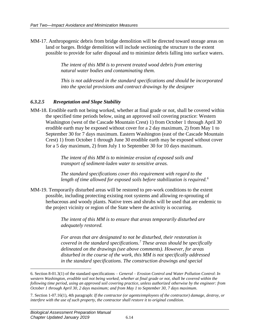MM-17. Anthropogenic debris from bridge demolition will be directed toward storage areas on land or barges. Bridge demolition will include sectioning the structure to the extent possible to provide for safer disposal and to minimize debris falling into surface waters.

> *The intent of this MM is to prevent treated wood debris from entering natural water bodies and contaminating them.*

*This is not addressed in the standard specifications and should be incorporated into the special provisions and contract drawings by the designer*

#### *6.3.2.5 Revegetation and Slope Stability*

MM-18. Erodible earth not being worked, whether at final grade or not, shall be covered within the specified time periods below, using an approved soil covering practice: Western Washington (west of the Cascade Mountain Crest) 1) from October 1 through April 30 erodible earth may be exposed without cover for a 2 day maximum, 2) from May 1 to September 30 for 7 days maximum. Eastern Washington (east of the Cascade Mountain Crest) 1) from October 1 through June 30 erodible earth may be exposed without cover for a 5 day maximum, 2) from July 1 to September 30 for 10 days maximum.

> *The intent of this MM is to minimize erosion of exposed soils and transport of sediment-laden water to sensitive areas.*

*The standard specifications cover this requirement with regard to the length of time allowed for exposed soils before stabilization is required.<sup>6</sup>*

MM-19. Temporarily disturbed areas will be restored to pre-work conditions to the extent possible, including protecting existing root systems and allowing re-sprouting of herbaceous and woody plants. Native trees and shrubs will be used that are endemic to the project vicinity or region of the State where the activity is occurring.

> *The intent of this MM is to ensure that areas temporarily disturbed are adequately restored.*

*For areas that are designated to not be disturbed, their restoration is covered in the standard specifications.<sup>7</sup> These areas should be specifically delineated on the drawings (see above comments). However, for areas disturbed in the course of the work, this MM is not specifically addressed in the standard specifications. The construction drawings and special* 

 $\overline{a}$ 

<sup>6.</sup> Section 8-01.3(1) of the standard specifications – *General – Erosion Control and Water Pollution Control*: *In western Washington, erodible soil not being worked, whether at final grade or not, shall be covered within the following time period, using an approved soil covering practice, unless authorized otherwise by the engineer: from October 1 through April 30, 2 days maximum; and from May 1 to September 30, 7 days maximum*.

<sup>7.</sup> Section 1-07.16(1), 4th paragraph: *If the contractor (or agents/employees of the contractor) damage, destroy, or interfere with the use of such property, the contractor shall restore it to original condition*.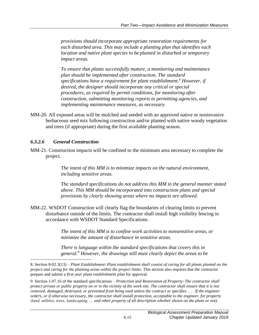*provisions should incorporate appropriate restoration requirements for each disturbed area. This may include a planting plan that identifies each location and native plant species to be planted in disturbed or temporary impact areas.*

*To ensure that plants successfully mature, a monitoring and maintenance plan should be implemented after construction. The standard specifications have a requirement for plant establishment.<sup>8</sup> However, if desired, the designer should incorporate any critical or special procedures, as required by permit conditions, for monitoring after construction, submitting monitoring reports to permitting agencies, and implementing maintenance measures, as necessary.*

MM-20. All exposed areas will be mulched and seeded with an approved native or noninvasive herbaceous seed mix following construction and/or planted with native woody vegetation and trees (if appropriate) during the first available planting season.

#### *6.3.2.6 General Construction*

 $\overline{a}$ 

MM-21. Construction impacts will be confined to the minimum area necessary to complete the project.

> *The intent of this MM is to minimize impacts on the natural environment, including sensitive areas.*

*The standard specifications do not address this MM in the general manner stated above. This MM should be incorporated into construction plans and special provisions by clearly showing areas where no impacts are allowed.*

MM-22. WSDOT Construction will clearly flag the boundaries of clearing limits to prevent disturbance outside of the limits. The contractor shall install high visibility fencing in accordance with WSDOT Standard Specifications.

> *The intent of this MM is to confine work activities to nonsensitive areas, or minimize the amount of disturbance in sensitive areas.*

*There is language within the standard specifications that covers this in general.<sup>9</sup> However, the drawings still must clearly depict the areas to be* 

<sup>8.</sup> Section 8-02.3(13) – *Plant Establishment*: *Plant establishment shall consist of caring for all plants planted on the project and caring for the planting areas within the project limits*. This section also requires that the contractor prepare and submit a *first year plant establishment plan* for approval.

<sup>9.</sup> Section 1-07.16 of the standard specifications – *Protection and Restoration of Property*: *The contractor shall protect private or public property on or in the vicinity of the work site. The contractor shall ensure that it is not removed, damaged, destroyed, or prevented from being used unless the contract so specifies*. . . . *If the engineer orders, or if otherwise necessary, the contractor shall install protection, acceptable to the engineer, for property (land, utilities, trees, landscaping, … and other property of all description whether shown on the plans or not)*.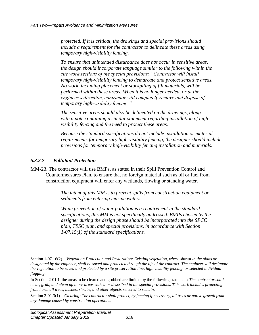*protected. If it is critical, the drawings and special provisions should include a requirement for the contractor to delineate these areas using temporary high-visibility fencing.*

*To ensure that unintended disturbance does not occur in sensitive areas, the design should incorporate language similar to the following within the site work sections of the special provisions: "Contractor will install temporary high-visibility fencing to demarcate and protect sensitive areas. No work, including placement or stockpiling of fill materials, will be performed within these areas. When it is no longer needed, or at the engineer's direction, contractor will completely remove and dispose of temporary high-visibility fencing."*

*The sensitive areas should also be delineated on the drawings, along with a note containing a similar statement regarding installation of highvisibility fencing and the need to protect these areas.*

*Because the standard specifications do not include installation or material requirements for temporary high-visibility fencing, the designer should include provisions for temporary high-visibility fencing installation and materials.*

#### *6.3.2.7 Pollutant Protection*

 $\overline{a}$ 

MM-23. The contractor will use BMPs, as stated in their Spill Prevention Control and Countermeasures Plan, to ensure that no foreign material such as oil or fuel from construction equipment will enter any wetlands, flowing or standing water.

> *The intent of this MM is to prevent spills from construction equipment or sediments from entering marine waters.*

*While prevention of water pollution is a requirement in the standard specifications, this MM is not specifically addressed. BMPs chosen by the designer during the design phase should be incorporated into the SPCC plan, TESC plan, and special provisions, in accordance with Section 1-07.15(1) of the standard specifications.*

In Section 2-01.1, the areas to be cleared and grubbed are limited by the following statement: *The contractor shall clear, grub, and clean up those areas staked or described in the special provisions. This work includes protecting from harm all trees, bushes, shrubs, and other objects selected to remain.*

Section 2-01.3(1) – *Clearing: The contractor shall protect, by fencing if necessary, all trees or native growth from any damage caused by construction operations*.

Section 1-07.16(2) – *Vegetation Protection and Restoration: Existing vegetation, where shown in the plans or designated by the engineer, shall be saved and protected through the life of the contract. The engineer will designate the vegetation to be saved and protected by a site preservation line, high visibility fencing, or selected individual flagging*.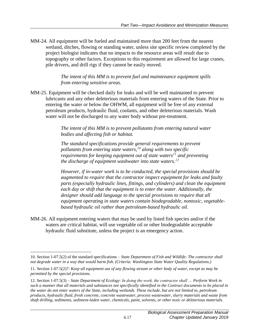MM-24. All equipment will be fueled and maintained more than 200 feet from the nearest wetland, ditches, flowing or standing water, unless site specific review completed by the project biologist indicates that no impacts to the resource areas will result due to topography or other factors. Exceptions to this requirement are allowed for large cranes, pile drivers, and drill rigs if they cannot be easily moved.

> *The intent of this MM is to prevent fuel and maintenance equipment spills from entering sensitive areas.*

MM-25. Equipment will be checked daily for leaks and will be well maintained to prevent lubricants and any other deleterious materials from entering waters of the State. Prior to entering the water or below the OHWM, all equipment will be free of any external petroleum products, hydraulic fluid, coolants, and other deleterious materials. Wash water will not be discharged to any water body without pre-treatment.

> *The intent of this MM is to prevent pollutants from entering natural water bodies and affecting fish or habitat.*

*The standard specifications provide general requirements to prevent pollutants from entering state waters,<sup>10</sup> along with two specific requirements for keeping equipment out of state waters<sup>11</sup> and preventing the discharge of equipment washwater into state waters.<sup>12</sup>*

*However, if in-water work is to be conducted, the special provisions should be augmented to require that the contractor inspect equipment for leaks and faulty parts (especially hydraulic lines, fittings, and cylinders) and clean the equipment each day or shift that the equipment is to enter the water. Additionally, the designer should add language to the special provisions to require that all equipment operating in state waters contain biodegradable, nontoxic, vegetablebased hydraulic oil rather than petroleum-based hydraulic oil.*

MM-26. All equipment entering waters that may be used by listed fish species and/or if the waters are critical habitat, will use vegetable oil or other biodegradable acceptable hydraulic fluid substitute, unless the project is an emergency action.

 $\overline{a}$ 10. Section 1-07.5(2) of the standard specifications *– State Department of Fish and Wildlife: The contractor shall not degrade water in a way that would harm fish. (Criteria: Washington State Water Quality Regulations.)*

<sup>11.</sup> Section 1-07.5(2)7: *Keep all equipment out of any flowing stream or other body of water, except as may be permitted by the special provisions*.

<sup>12.</sup> Section 1-07.5(3) – *State Department of Ecology*: *In doing the work, the contractor shall … Perform Work in such a manner that all materials and substances not specifically identified in the Contract documents to be placed in the water do not enter waters of the State, including wetlands. These include, but are not limited to, petroleum products, hydraulic fluid, fresh concrete, concrete wastewater, process wastewater, slurry materials and waste from shaft drilling, sediments, sediment-laden water, chemicals, paint, solvents, or other toxic or deleterious materials.*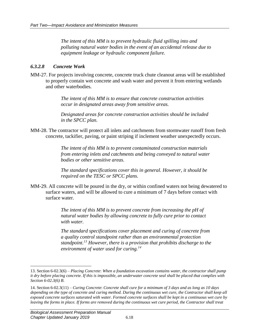*The intent of this MM is to prevent hydraulic fluid spilling into and polluting natural water bodies in the event of an accidental release due to equipment leakage or hydraulic component failure.*

#### *6.3.2.8 Concrete Work*

MM-27. For projects involving concrete, concrete truck chute cleanout areas will be established to properly contain wet concrete and wash water and prevent it from entering wetlands and other waterbodies.

> *The intent of this MM is to ensure that concrete construction activities occur in designated areas away from sensitive areas.*

*Designated areas for concrete construction activities should be included in the SPCC plan.*

MM-28. The contractor will protect all inlets and catchments from stormwater runoff from fresh concrete, tackifier, paving, or paint striping if inclement weather unexpectedly occurs.

> *The intent of this MM is to prevent contaminated construction materials from entering inlets and catchments and being conveyed to natural water bodies or other sensitive areas.*

*The standard specifications cover this in general. However, it should be required on the TESC or SPCC plans.*

MM-29. All concrete will be poured in the dry, or within confined waters not being dewatered to surface waters, and will be allowed to cure a minimum of 7 days before contact with surface water.

> *The intent of this MM is to prevent concrete from increasing the pH of natural water bodies by allowing concrete to fully cure prior to contact with water.*

*The standard specifications cover placement and curing of concrete from a quality control standpoint rather than an environmental protection standpoint.<sup>13</sup> However, there is a provision that prohibits discharge to the environment of water used for curing.<sup>14</sup>*

 $\overline{a}$ 

<sup>13.</sup> Section 6-02.3(6) – *Placing Concrete*: *When a foundation excavation contains water, the contractor shall pump it dry before placing concrete. If this is impossible, an underwater concrete seal shall be placed that complies with Section 6-02.3(6) B*.

<sup>14.</sup> Section 6-02.3(11) – *Curing Concrete*: *Concrete shall cure for a minimum of 3 days and as long as 10 days depending on the type of concrete and curing method. During the continuous wet cure, the Contractor shall keep all exposed concrete surfaces saturated with water. Formed concrete surfaces shall be kept in a continuous wet cure by leaving the forms in place. If forms are removed during the continuous wet cure period, the Contractor shall treat*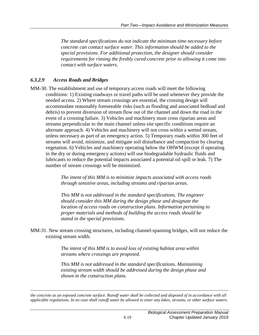*The standard specifications do not indicate the minimum time necessary before concrete can contact surface water. This information should be added to the special provisions. For additional protection, the designer should consider requirements for rinsing the freshly cured concrete prior to allowing it come into contact with surface waters.*

#### *6.3.2.9 Access Roads and Bridges*

 $\overline{a}$ 

MM-30. The establishment and use of temporary access roads will meet the following conditions: 1) Existing roadways or travel paths will be used whenever they provide the needed access. 2) Where stream crossings are essential, the crossing design will accommodate reasonably foreseeable risks (such as flooding and associated bedload and debris) to prevent diversion of stream flow out of the channel and down the road in the event of a crossing failure. 3) Vehicles and machinery must cross riparian areas and streams perpendicular to the main channel unless site specific conditions require an alternate approach. 4) Vehicles and machinery will not cross within a wetted stream, unless necessary as part of an emergency action. 5) Temporary roads within 300 feet of streams will avoid, minimize, and mitigate soil disturbance and compaction by clearing vegetation. 6) Vehicles and machinery operating below the OHWM (except if operating in the dry or during emergency actions) will use biodegradable hydraulic fluids and lubricants to reduce the potential impacts associated a potential oil spill or leak. 7) The number of stream crossings will be minimized.

> *The intent of this MM is to minimize impacts associated with access roads through sensitive areas, including streams and riparian areas.*

> *This MM is not addressed in the standard specifications. The engineer should consider this MM during the design phase and designate the location of access roads on construction plans. Information pertaining to proper materials and methods of building the access roads should be stated in the special provisions.*

MM-31. New stream crossing structures, including channel-spanning bridges, will not reduce the existing stream width.

> *The intent of this MM is to avoid loss of existing habitat area within streams where crossings are proposed.*

*This MM is not addressed in the standard specifications. Maintaining existing stream width should be addressed during the design phase and shown in the construction plans.*

*the concrete as an exposed concrete surface. Runoff water shall be collected and disposed of in accordance with all applicable regulations. In no case shall runoff water be allowed to enter any lakes, streams, or other surface waters*.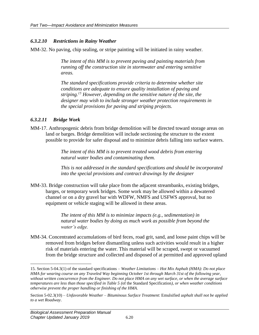#### *6.3.2.10 Restrictions in Rainy Weather*

MM-32. No paving, chip sealing, or stripe painting will be initiated in rainy weather.

*The intent of this MM is to prevent paving and painting materials from running off the construction site in stormwater and entering sensitive areas.*

*The standard specifications provide criteria to determine whether site conditions are adequate to ensure quality installation of paving and striping.<sup>15</sup> However, depending on the sensitive nature of the site, the designer may wish to include stronger weather protection requirements in the special provisions for paving and striping projects.*

#### *6.3.2.11 Bridge Work*

MM-17. Anthropogenic debris from bridge demolition will be directed toward storage areas on land or barges. Bridge demolition will include sectioning the structure to the extent possible to provide for safer disposal and to minimize debris falling into surface waters.

> *The intent of this MM is to prevent treated wood debris from entering natural water bodies and contaminating them.*

*This is not addressed in the standard specifications and should be incorporated into the special provisions and contract drawings by the designer*

MM-33. Bridge construction will take place from the adjacent streambanks, existing bridges, barges, or temporary work bridges. Some work may be allowed within a dewatered channel or on a dry gravel bar with WDFW, NMFS and USFWS approval, but no equipment or vehicle staging will be allowed in these areas.

> *The intent of this MM is to minimize impacts (e.g., sedimentation) in natural water bodies by doing as much work as possible from beyond the water's edge.*

MM-34. Concentrated accumulations of bird feces, road grit, sand, and loose paint chips will be removed from bridges before dismantling unless such activities would result in a higher risk of materials entering the water. This material will be scraped, swept or vacuumed from the bridge structure and collected and disposed of at permitted and approved upland

 $\overline{a}$ 

<sup>15.</sup> Section 5-04.3(1) of the standard specifications – *Weather Limitations – Hot Mix Asphalt (HMA)*: *Do not place HMA for wearing course on any Traveled Way beginning October 1st through March 31st of the following year, without written concurrence from the Engineer. Do not place HMA on any wet surface, or when the average surface temperatures are less than those specified in Table 5 (*of the Standard Specification*), or when weather conditions otherwise prevent the proper handling or finishing of the HMA.*

Section 5-02.3(10) – *Unfavorable Weather – Bituminous Surface Treatment*: Emulsified a*sphalt shall not be applied to a wet Roadway*.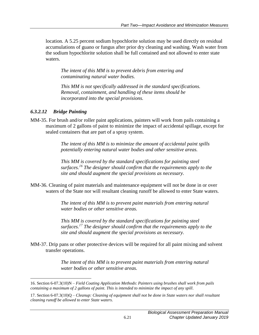location. A 5.25 percent sodium hypochlorite solution may be used directly on residual accumulations of guano or fungus after prior dry cleaning and washing. Wash water from the sodium hypochlorite solution shall be full contained and not allowed to enter state waters.

*The intent of this MM is to prevent debris from entering and contaminating natural water bodies.*

*This MM is not specifically addressed in the standard specifications. Removal, containment, and handling of these items should be incorporated into the special provisions.*

#### *6.3.2.12 Bridge Painting*

MM-35. For brush and/or roller paint applications, painters will work from pails containing a maximum of 2 gallons of paint to minimize the impact of accidental spillage, except for sealed containers that are part of a spray system.

> *The intent of this MM is to minimize the amount of accidental paint spills potentially entering natural water bodies and other sensitive areas.*

*This MM is covered by the standard specifications for painting steel surfaces.<sup>16</sup> The designer should confirm that the requirements apply to the site and should augment the special provisions as necessary.*

MM-36. Cleaning of paint materials and maintenance equipment will not be done in or over waters of the State nor will resultant cleaning runoff be allowed to enter State waters.

> *The intent of this MM is to prevent paint materials from entering natural water bodies or other sensitive areas.*

*This MM is covered by the standard specifications for painting steel surfaces.<sup>17</sup> The designer should confirm that the requirements apply to the site and should augment the special provisions as necessary.*

MM-37. Drip pans or other protective devices will be required for all paint mixing and solvent transfer operations.

> *The intent of this MM is to prevent paint materials from entering natural water bodies or other sensitive areas.*

 $\overline{a}$ 16. Section 6-07.3(10)N – *Field Coating Application Methods*: *Painters using brushes shall work from pails containing a maximum of 2 gallons of paint. This is intended to minimize the impact of any spill*.

<sup>17.</sup> Section 6-07.3(10)Q – *Cleanup: Cleaning of equipment shall not be done in State waters nor shall resultant cleaning runoff be allowed to enter State waters*.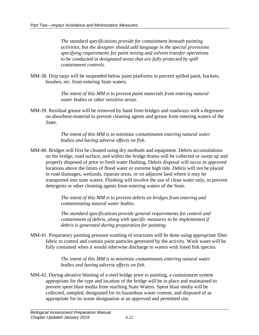*The standard specifications provide for containment beneath painting activities, but the designer should add language in the special provisions specifying requirements for paint mixing and solvent transfer operations to be conducted in designated areas that are fully protected by spill containment controls.*

MM-38. Drip tarps will be suspended below paint platforms to prevent spilled paint, buckets, brushes, etc. from entering State waters.

> *The intent of this MM is to prevent paint materials from entering natural water bodies or other sensitive areas.*

MM-39. Residual grease will be removed by hand from bridges and roadways with a degreaser on absorbent-material to prevent cleaning agents and grease from entering waters of the State.

> *The intent of this MM is to minimize contaminants entering natural water bodies and having adverse effects on fish.*

MM-40. Bridges will first be cleaned using dry methods and equipment. Debris accumulations on the bridge, road surface, and within the bridge drains will be collected or swept up and properly disposed of prior to fresh water flushing. Debris disposal will occur in approved locations above the limits of flood water or extreme high tide. Debris will not be placed in road drainages, wetlands, riparian areas, or on adjacent land where it may be transported into state waters. Flushing will involve the use of clean water only, to prevent detergents or other cleaning agents from entering waters of the State.

> *The intent of this MM is to prevent debris on bridges from entering and contaminating natural water bodies.*

*The standard specifications provide general requirements for control and containment of debris, along with specific measures to be implemented if debris is generated during preparation for painting.*

MM-41. Preparatory painting pressure washing of structures will be done using appropriate filter fabric to control and contain paint particles generated by the activity. Wash water will be fully contained when it would otherwise discharge to waters with listed fish species.

> *The intent of this MM is to minimize contaminants entering natural water bodies and having adverse effects on fish.*

MM-42. During abrasive blasting of a steel bridge prior to painting, a containment system appropriate for the type and location of the bridge will be in place and maintained to prevent spent blast media from reaching State Waters. Spent blast media will be collected, sampled, designated for its hazardous waste content, and disposed of as appropriate for its waste designation at an approved and permitted site.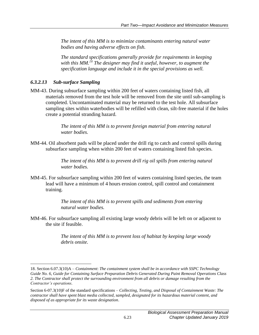*The intent of this MM is to minimize contaminants entering natural water bodies and having adverse effects on fish.*

*The standard specifications generally provide for requirements in keeping with this MM.<sup>18</sup> The designer may find it useful, however, to augment the specification language and include it in the special provisions as well.*

#### *6.3.2.13 Sub-surface Sampling*

 $\overline{a}$ 

MM-43. During subsurface sampling within 200 feet of waters containing listed fish, all materials removed from the test hole will be removed from the site until sub-sampling is completed. Uncontaminated material may be returned to the test hole. All subsurface sampling sites within waterbodies will be refilled with clean, silt-free material if the holes create a potential stranding hazard.

> *The intent of this MM is to prevent foreign material from entering natural water bodies.*

MM-44. Oil absorbent pads will be placed under the drill rig to catch and control spills during subsurface sampling when within 200 feet of waters containing listed fish species.

> *The intent of this MM is to prevent drill rig oil spills from entering natural water bodies.*

MM-45. For subsurface sampling within 200 feet of waters containing listed species, the team lead will have a minimum of 4 hours erosion control, spill control and containment training.

> *The intent of this MM is to prevent spills and sediments from entering natural water bodies.*

MM-46. For subsurface sampling all existing large woody debris will be left on or adjacent to the site if feasible.

> *The intent of this MM is to prevent loss of habitat by keeping large woody debris onsite.*

<sup>18.</sup> Section 6.07.3(10)A – *Containment*: *The containment system shall be in accordance with SSPC Technology Guide No. 6, Guide for Containing Surface Preparation Debris Generated During Paint Removal Operations Class 2. The Contractor shall protect the surrounding environment from all debris or damage resulting from the Contractor's operations.*

Section 6-07.3(10)F of the standard specifications – *Collecting, Testing, and Disposal of Containment Waste: The contractor shall have spent blast media collected, sampled, designated for its hazardous material content, and disposed of as appropriate for its waste designation*.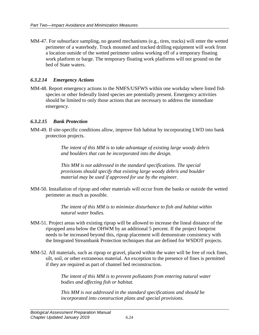MM-47. For subsurface sampling, no geared mechanisms (e.g., tires, tracks) will enter the wetted perimeter of a waterbody. Truck mounted and tracked drilling equipment will work from a location outside of the wetted perimeter unless working off of a temporary floating work platform or barge. The temporary floating work platforms will not ground on the bed of State waters.

#### *6.3.2.14 Emergency Actions*

MM-48. Report emergency actions to the NMFS/USFWS within one workday where listed fish species or other federally listed species are potentially present. Emergency activities should be limited to only those actions that are necessary to address the immediate emergency.

#### *6.3.2.15 Bank Protection*

MM-49. If site-specific conditions allow, improve fish habitat by incorporating LWD into bank protection projects.

> *The intent of this MM is to take advantage of existing large woody debris and boulders that can be incorporated into the design.*

*This MM is not addressed in the standard specifications. The special provisions should specify that existing large woody debris and boulder material may be used if approved for use by the engineer.*

MM-50. Installation of riprap and other materials will occur from the banks or outside the wetted perimeter as much as possible.

> *The intent of this MM is to minimize disturbance to fish and habitat within natural water bodies.*

- MM-51. Project areas with existing riprap will be allowed to increase the lineal distance of the riprapped area below the OHWM by an additional 5 percent. If the project footprint needs to be increased beyond this, riprap placement will demonstrate consistency with the Integrated Streambank Protection techniques that are defined for WSDOT projects.
- MM-52. All materials, such as riprap or gravel, placed within the water will be free of rock fines, silt, soil, or other extraneous material. An exception to the presence of fines is permitted if they are required as part of channel bed reconstruction.

*The intent of this MM is to prevent pollutants from entering natural water bodies and affecting fish or habitat.*

*This MM is not addressed in the standard specifications and should be incorporated into construction plans and special provisions.*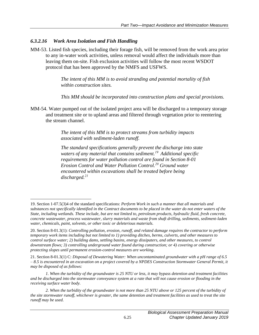#### *6.3.2.16 Work Area Isolation and Fish Handling*

 $\overline{a}$ 

MM-53. Listed fish species, including their forage fish, will be removed from the work area prior to any in-water work activities, unless removal would affect the individuals more than leaving them on-site. Fish exclusion activities will follow the most recent WSDOT protocol that has been approved by the NMFS and USFWS.

> *The intent of this MM is to avoid stranding and potential mortality of fish within construction sites.*

*This MM should be incorporated into construction plans and special provisions.*

MM-54. Water pumped out of the isolated project area will be discharged to a temporary storage and treatment site or to upland areas and filtered through vegetation prior to reentering the stream channel.

> *The intent of this MM is to protect streams from turbidity impacts associated with sediment-laden runoff.*

*The standard specifications generally prevent the discharge into state waters of any material that contains sediment.<sup>19</sup> Additional specific requirements for water pollution control are found in Section 8-01 Erosion Control and Water Pollution Control.<sup>20</sup> Ground water encountered within excavations shall be treated before being discharged.<sup>21</sup>*

<sup>19.</sup> Section 1-07.5(3)4 of the standard specifications: *Perform Work in such a manner that all materials and substances not specifically identified in the Contract documents to be placed in the water do not enter waters of the State, including wetlands. These include, but are not limited to, petroleum products, hydraulic fluid, fresh concrete, concrete wastewater, process wastewater, slurry materials and waste from shaft drilling, sediments, sediment-laden water, chemicals, paint, solvents, or other toxic or deleterious materials.*

<sup>20.</sup> Section 8-01.3(1): *Controlling pollution, erosion, runoff, and related damage requires the contractor to perform temporary work items including but not limited to 1) providing ditches, berms, culverts, and other measures to control surface water; 2) building dams, settling basins, energy dissipaters, and other measures, to control downstream flows; 3) controlling underground water found during construction; or 4) covering or otherwise protecting slopes until permanent erosion-control measures are working*.

<sup>21.</sup> Section 8-01.3(1) C: *Disposal of Dewatering Water: When uncontaminated groundwater with a pH range of 6.5 – 8.5 is encountered in an excavation on a project covered by a NPDES Construction Stormwater General Permit, it may be disposed of as follows:*

*<sup>1.</sup> When the turbidity of the groundwater is 25 NTU or less, it may bypass detention and treatment facilities and be discharged into the stormwater conveyance system at a rate that will not cause erosion or flooding in the receiving surface water body.* 

*<sup>2.</sup> When the turbidity of the groundwater is not more than 25 NTU above or 125 percent of the turbidity of the site stormwater runoff, whichever is greater, the same detention and treatment facilities as used to treat the site runoff may be used.*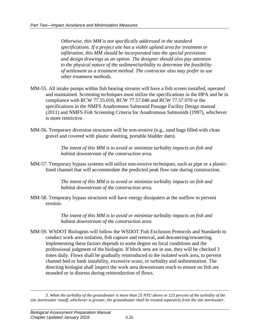*Otherwise, this MM is not specifically addressed in the standard specifications. If a project site has a viable upland area for treatment or infiltration, this MM should be incorporated into the special provisions and design drawings as an option. The designer should also pay attention to the physical nature of the sediment/turbidity to determine the feasibility of settlement as a treatment method. The contractor also may prefer to use other treatment methods.*

- MM-55. All intake pumps within fish bearing streams will have a fish screen installed, operated and maintained. Screening techniques must utilize the specifications in the HPA and be in compliance with RCW 77.55.010, RCW 77.57.040 and RCW 77.57.070 or the specifications in the NMFS Anadromous Salmonid Passage Facility Design manual (2011) and NMFS Fish Screening Criteria for Anadromous Salmonids (1997), whichever is more restrictive.
- MM-56. Temporary diversion structures will be non-erosive (e.g., sand bags filled with clean gravel and covered with plastic sheeting, portable bladder dam).

*The intent of this MM is to avoid or minimize turbidity impacts on fish and habitat downstream of the construction area.*

MM-57. Temporary bypass systems will utilize non-erosive techniques, such as pipe or a plasticlined channel that will accommodate the predicted peak flow rate during construction.

> *The intent of this MM is to avoid or minimize turbidity impacts on fish and habitat downstream of the construction area.*

MM-58. Temporary bypass structures will have energy dissipaters at the outflow to prevent erosion.

> *The intent of this MM is to avoid or minimize turbidity impacts on fish and habitat downstream of the construction area.*

MM-59. WSDOT Biologists will follow the WSDOT Fish Exclusion Protocols and Standards to conduct work area isolation, fish capture and removal, and dewatering/rewatering. Implementing these factors depends to some degree on local conditions and the professional judgment of the biologist. If block nets are in use, they will be checked 3 times daily. Flows shall be gradually reintroduced to the isolated work area, to prevent channel bed or bank instability, excessive scour, or turbidity and sedimentation. The directing biologist shall inspect the work area downstream reach to ensure no fish are stranded or in distress during reintroduction of flows.

 $\overline{a}$ *3. When the turbidity of the groundwater is more than 25 NTU above or 125 percent of the turbidity of the site stormwater runoff, whichever is greater, the groundwater shall be treated separately from the site stormwater.*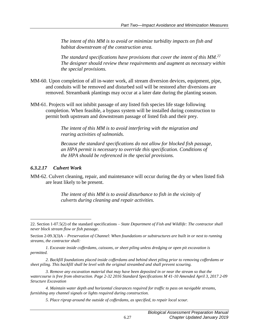*The intent of this MM is to avoid or minimize turbidity impacts on fish and habitat downstream of the construction area.*

*The standard specifications have provisions that cover the intent of this MM.<sup>22</sup> The designer should review these requirements and augment as necessary within the special provisions.*

- MM-60. Upon completion of all in-water work, all stream diversion devices, equipment, pipe, and conduits will be removed and disturbed soil will be restored after diversions are removed. Streambank plantings may occur at a later date during the planting season.
- MM-61. Projects will not inhibit passage of any listed fish species life stage following completion. When feasible, a bypass system will be installed during construction to permit both upstream and downstream passage of listed fish and their prey.

*The intent of this MM is to avoid interfering with the migration and rearing activities of salmonids.*

*Because the standard specifications do not allow for blocked fish passage, an HPA permit is necessary to override this specification. Conditions of the HPA should be referenced in the special provisions.*

#### *6.3.2.17 Culvert Work*

 $\overline{a}$ 

MM-62. Culvert cleaning, repair, and maintenance will occur during the dry or when listed fish are least likely to be present.

> *The intent of this MM is to avoid disturbance to fish in the vicinity of culverts during cleaning and repair activities.*

<sup>22.</sup> Section 1-07.5(2) of the standard specifications – *State Department of Fish and Wildlife: The contractor shall never block stream flow or fish passage*.

Section 2-09.3(3)A – *Preservation of Channel*: *When foundations or substructures are built in or next to running streams, the contractor shall:*

*<sup>1.</sup> Excavate inside cofferdams, caissons, or sheet piling unless dredging or open pit excavation is permitted.* 

*<sup>2.</sup> Backfill foundations placed inside cofferdams and behind sheet piling prior to removing cofferdams or sheet piling. This backfill shall be level with the original streambed and shall prevent scouring.* 

*<sup>3.</sup> Remove any excavation material that may have been deposited in or near the stream so that the watercourse is free from obstruction. Page 2-32 2016 Standard Specifications M 41-10 Amended April 3, 2017 2-09 Structure Excavation* 

*<sup>4.</sup> Maintain water depth and horizontal clearances required for traffic to pass on navigable streams, furnishing any channel signals or lights required during construction.* 

*<sup>5.</sup> Place riprap around the outside of cofferdams, as specified, to repair local scour.*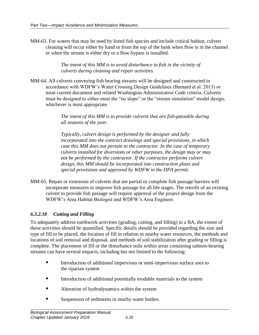MM-63. For waters that may be used by listed fish species and include critical habitat, culvert cleaning will occur either by hand or from the top of the bank when flow is in the channel or when the stream is either dry or a flow bypass is installed.

> *The intent of this MM is to avoid disturbance to fish in the vicinity of culverts during cleaning and repair activities.*

MM-64. All culverts conveying fish bearing streams will be designed and constructed in accordance with WDFW's Water Crossing Design Guidelines (Barnard et al. 2013) or most current document and related Washington Administrative Code criteria. Culverts must be designed to either meet the "no slope" or the "stream simulation" model design, whichever is most appropriate.

> *The intent of this MM is to provide culverts that are fish-passable during all seasons of the year.*

*Typically, culvert design is performed by the designer and fully incorporated into the contract drawings and special provisions, in which case this MM does not pertain to the contractor. In the case of temporary culverts installed for diversions or other purposes, the design may or may not be performed by the contractor. If the contractor performs culvert design, this MM should be incorporated into construction plans and special provisions and approved by WDFW in the HPA permit.*

MM-65. Repair or extension of culverts that are partial or complete fish passage barriers will incorporate measures to improve fish passage for all life stages. The retrofit of an existing culvert to provide fish passage will require approval of the project design from the WDFW's Area Habitat Biologist and WDFW's Area Engineer.

# *6.3.2.18 Cutting and Filling*

To adequately address earthwork activities (grading, cutting, and filling) in a BA, the extent of these activities should be quantified. Specific details should be provided regarding the size and type of fill to be placed, the location of fill in relation to nearby water resources, the methods and locations of soil removal and disposal, and methods of soil stabilization after grading or filling is complete. The placement of fill or the disturbance soils within areas containing salmon-bearing streams can have several impacts, including but not limited to the following:

- Introduction of additional impervious or semi-impervious surface area to the riparian system
- Introduction of additional potentially erodable materials to the system
- Alteration of hydrodynamics within the system
- Suspension of sediments in nearby water bodies.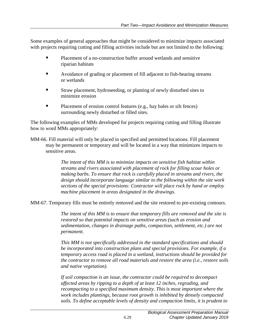Some examples of general approaches that might be considered to minimize impacts associated with projects requiring cutting and filling activities include but are not limited to the following:

- **Placement of a no-construction buffer around wetlands and sensitive** riparian habitats
- Avoidance of grading or placement of fill adjacent to fish-bearing streams or wetlands
- Straw placement, hydroseeding, or planting of newly disturbed sites to minimize erosion
- Placement of erosion control features (e.g., hay bales or silt fences) surrounding newly disturbed or filled sites.

The following examples of MMs developed for projects requiring cutting and filling illustrate how to word MMs appropriately:

MM-66. Fill material will only be placed in specified and permitted locations. Fill placement may be permanent or temporary and will be located in a way that minimizes impacts to sensitive areas.

> *The intent of this MM is to minimize impacts on sensitive fish habitat within streams and rivers associated with placement of rock for filling scour holes or making barbs. To ensure that rock is carefully placed in streams and rivers, the design should incorporate language similar to the following within the site work sections of the special provisions: Contractor will place rock by hand or employ machine placement in areas designated in the drawings.*

MM-67. Temporary fills must be entirely removed and the site restored to pre-existing contours.

*The intent of this MM is to ensure that temporary fills are removed and the site is restored so that potential impacts on sensitive areas (such as erosion and sedimentation, changes in drainage paths, compaction, settlement, etc.) are not permanent.*

*This MM is not specifically addressed in the standard specifications and should be incorporated into construction plans and special provisions. For example, if a temporary access road is placed in a wetland, instructions should be provided for the contractor to remove all road materials and restore the area (i.e., restore soils and native vegetation).*

*If soil compaction is an issue, the contractor could be required to decompact affected areas by ripping to a depth of at least 12 inches, regrading, and recompacting to a specified maximum density. This is most important where the work includes plantings, because root growth is inhibited by densely compacted soils. To define acceptable levels of density and compaction limits, it is prudent to*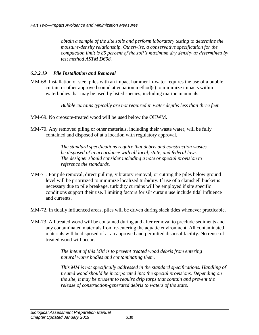*obtain a sample of the site soils and perform laboratory testing to determine the moisture-density relationship. Otherwise, a conservative specification for the compaction limit is 85 percent of the soil's maximum dry density as determined by test method ASTM D698.*

#### *6.3.2.19 Pile Installation and Removal*

MM-68. Installation of steel piles with an impact hammer in-water requires the use of a bubble curtain or other approved sound attenuation method(s) to minimize impacts within waterbodies that may be used by listed species, including marine mammals.

*Bubble curtains typically are not required in water depths less than three feet.*

- MM-69. No creosote-treated wood will be used below the OHWM.
- MM-70. Any removed piling or other materials, including their waste water, will be fully contained and disposed of at a location with regulatory approval.

*The standard specifications require that debris and construction wastes be disposed of in accordance with all local, state, and federal laws. The designer should consider including a note or special provision to reference the standards.*

- MM-71. For pile removal, direct pulling, vibratory removal, or cutting the piles below ground level will be prioritized to minimize localized turbidity. If use of a clamshell bucket is necessary due to pile breakage, turbidity curtains will be employed if site specific conditions support their use. Limiting factors for silt curtain use include tidal influence and currents.
- MM-72. In tidally influenced areas, piles will be driven during slack tides whenever practicable.
- MM-73. All treated wood will be contained during and after removal to preclude sediments and any contaminated materials from re-entering the aquatic environment. All contaminated materials will be disposed of at an approved and permitted disposal facility. No reuse of treated wood will occur.

*The intent of this MM is to prevent treated wood debris from entering natural water bodies and contaminating them.*

*This MM is not specifically addressed in the standard specifications. Handling of treated wood should be incorporated into the special provisions. Depending on the site, it may be prudent to require drip tarps that contain and prevent the release of construction-generated debris to waters of the state.*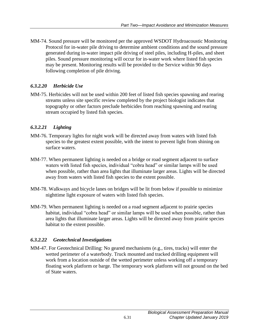MM-74. Sound pressure will be monitored per the approved WSDOT Hydroacoustic Monitoring Protocol for in-water pile driving to determine ambient conditions and the sound pressure generated during in-water impact pile driving of steel piles, including H-piles, and sheet piles. Sound pressure monitoring will occur for in-water work where listed fish species may be present. Monitoring results will be provided to the Service within 90 days following completion of pile driving.

# *6.3.2.20 Herbicide Use*

MM-75. Herbicides will not be used within 200 feet of listed fish species spawning and rearing streams unless site specific review completed by the project biologist indicates that topography or other factors preclude herbicides from reaching spawning and rearing stream occupied by listed fish species.

# *6.3.2.21 Lighting*

- MM-76. Temporary lights for night work will be directed away from waters with listed fish species to the greatest extent possible, with the intent to prevent light from shining on surface waters.
- MM-77. When permanent lighting is needed on a bridge or road segment adjacent to surface waters with listed fish species, individual "cobra head" or similar lamps will be used when possible, rather than area lights that illuminate larger areas. Lights will be directed away from waters with listed fish species to the extent possible.
- MM-78. Walkways and bicycle lanes on bridges will be lit from below if possible to minimize nighttime light exposure of waters with listed fish species.
- MM-79. When permanent lighting is needed on a road segment adjacent to prairie species habitat, individual "cobra head" or similar lamps will be used when possible, rather than area lights that illuminate larger areas. Lights will be directed away from prairie species habitat to the extent possible.

# *6.3.2.22 Geotechnical Investigations*

MM-47. For Geotechnical Drilling: No geared mechanisms (e.g., tires, tracks) will enter the wetted perimeter of a waterbody. Truck mounted and tracked drilling equipment will work from a location outside of the wetted perimeter unless working off a temporary floating work platform or barge. The temporary work platform will not ground on the bed of State waters.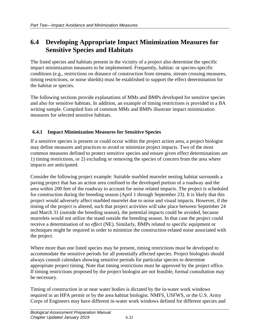# <span id="page-35-0"></span>**6.4 Developing Appropriate Impact Minimization Measures for Sensitive Species and Habitats**

The listed species and habitats present in the vicinity of a project also determine the specific impact minimization measures to be implemented. Frequently, habitat- or species-specific conditions (e.g., restrictions on distance of construction from streams, stream crossing measures, timing restrictions, or noise shields) must be established to support the effect determination for the habitat or species.

The following sections provide explanations of MMs and BMPs developed for sensitive species and also for sensitive habitats. In addition, an example of timing restrictions is provided in a BA writing sample. Compiled lists of common MMs and BMPs illustrate impact minimization measures for selected sensitive habitats.

# <span id="page-35-1"></span>**6.4.1 Impact Minimization Measures for Sensitive Species**

If a sensitive species is present or could occur within the project action area, a project biologist may define measures and practices to avoid or minimize project impacts. Two of the most common measures defined to protect sensitive species and ensure given effect determinations are 1) timing restrictions, or 2) excluding or removing the species of concern from the area where impacts are anticipated.

Consider the following project example: Suitable marbled murrelet nesting habitat surrounds a paving project that has an action area confined to the developed portion of a roadway and the area within 200 feet of the roadway to account for noise related impacts. The project is scheduled for construction during the breeding season (April 1 through September 23). It is likely that this project would adversely affect marbled murrelet due to noise and visual impacts. However, if the timing of the project is altered, such that project activities will take place between September 24 and March 31 (outside the breeding season), the potential impacts could be avoided, because murrelets would not utilize the stand outside the breeding season. In that case the project could receive a determination of *no effect* (NE). Similarly, BMPs related to specific equipment or techniques might be required in order to minimize the construction-related noise associated with the project.

Where more than one listed species may be present, timing restrictions must be developed to accommodate the sensitive periods for all potentially affected species. Project biologists should always consult calendars showing sensitive periods for particular species to determine appropriate project timing. Note that timing restrictions must be approved by the project office. If timing restrictions proposed by the project biologist are not feasible, formal consultation may be necessary.

Timing of construction in or near water bodies is dictated by the in-water work windows required in an HPA permit or by the area habitat biologist. NMFS, USFWS, or the U.S. Army Corps of Engineers may have different in-water work windows defined for different species and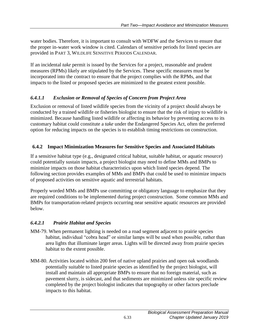water bodies. Therefore, it is important to consult with WDFW and the Services to ensure that the proper in-water work window is cited. Calendars of sensitive periods for listed species are provided in PART 3, WILDLIFE SENSITIVE PERIODS CALENDAR.

If an incidental *take* permit is issued by the Services for a project, reasonable and prudent measures (RPMs) likely are stipulated by the Services. These specific measures must be incorporated into the contract to ensure that the project complies with the RPMs, and that impacts to the listed or proposed species are minimized to the greatest extent possible.

# *6.4.1.1 Exclusion or Removal of Species of Concern from Project Area*

Exclusion or removal of listed wildlife species from the vicinity of a project should always be conducted by a trained wildlife or fisheries biologist to ensure that the risk of injury to wildlife is minimized. Because handling listed wildlife or affecting its behavior by preventing access to its customary habitat could constitute a *take* under the Endangered Species Act, often the preferred option for reducing impacts on the species is to establish timing restrictions on construction.

# <span id="page-36-0"></span>**6.4.2 Impact Minimization Measures for Sensitive Species and Associated Habitats**

If a sensitive habitat type (e.g., designated critical habitat, suitable habitat, or aquatic resource) could potentially sustain impacts, a project biologist may need to define MMs and BMPs to minimize impacts on those habitat characteristics upon which listed species depend. The following section provides examples of MMs and BMPs that could be used to minimize impacts of proposed activities on sensitive aquatic and terrestrial habitats.

Properly worded MMs and BMPs use committing or obligatory language to emphasize that they are required conditions to be implemented during project construction. Some common MMs and BMPs for transportation-related projects occurring near sensitive aquatic resources are provided below.

# *6.4.2.1 Prairie Habitat and Species*

- MM-79. When permanent lighting is needed on a road segment adjacent to prairie species habitat, individual "cobra head" or similar lamps will be used when possible, rather than area lights that illuminate larger areas. Lights will be directed away from prairie species habitat to the extent possible.
- MM-80. Activities located within 200 feet of native upland prairies and open oak woodlands potentially suitable to listed prairie species as identified by the project biologist, will install and maintain all appropriate BMPs to ensure that no foreign material, such as pavement slurry, is sidecast, and that sediments are minimized unless site specific review completed by the project biologist indicates that topography or other factors preclude impacts to this habitat.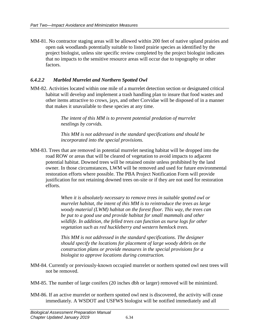MM-81. No contractor staging areas will be allowed within 200 feet of native upland prairies and open oak woodlands potentially suitable to listed prairie species as identified by the project biologist, unless site specific review completed by the project biologist indicates that no impacts to the sensitive resource areas will occur due to topography or other factors.

#### *6.4.2.2 Marbled Murrelet and Northern Spotted Owl*

MM-82. Activities located within one mile of a murrelet detection section or designated critical habitat will develop and implement a trash handling plan to insure that food wastes and other items attractive to crows, jays, and other Corvidae will be disposed of in a manner that makes it unavailable to these species at any time.

> *The intent of this MM is to prevent potential predation of murrelet nestlings by corvids.*

*This MM is not addressed in the standard specifications and should be incorporated into the special provisions.*

MM-83. Trees that are removed in potential murrelet nesting habitat will be dropped into the road ROW or areas that will be cleared of vegetation to avoid impacts to adjacent potential habitat. Downed trees will be retained onsite unless prohibited by the land owner. In those circumstances, LWM will be removed and used for future environmental restoration efforts where possible. The PBA Project Notification Form will provide justification for not retaining downed trees on-site or if they are not used for restoration efforts.

> *When it is absolutely necessary to remove trees in suitable spotted owl or murrelet habitat, the intent of this MM is to reintroduce the trees as large woody material (LWM) habitat on the forest floor. This way, the trees can be put to a good use and provide habitat for small mammals and other wildlife. In addition, the felled trees can function as nurse logs for other vegetation such as red huckleberry and western hemlock trees.*

*This MM is not addressed in the standard specifications. The designer should specify the locations for placement of large woody debris on the construction plans or provide measures in the special provisions for a biologist to approve locations during construction.*

MM-84. Currently or previously-known occupied murrelet or northern spotted owl nest trees will not be removed.

MM-85. The number of large conifers (20 inches dbh or larger) removed will be minimized.

MM-86. If an active murrelet or northern spotted owl nest is discovered, the activity will cease immediately. A WSDOT and USFWS biologist will be notified immediately and all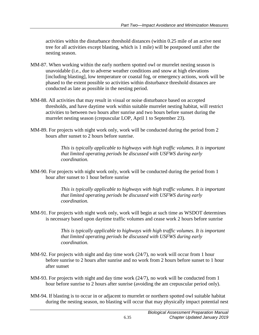activities within the disturbance threshold distances (within 0.25 mile of an active nest tree for all activities except blasting, which is 1 mile) will be postponed until after the nesting season.

- MM-87. When working within the early northern spotted owl or murrelet nesting season is unavoidable (i.e., due to adverse weather conditions and snow at high elevations [including blasting], low temperature or coastal fog, or emergency actions, work will be phased to the extent possible so activities within disturbance threshold distances are conducted as late as possible in the nesting period.
- MM-88. All activities that may result in visual or noise disturbance based on accepted thresholds, and have daytime work within suitable murrelet nesting habitat, will restrict activities to between two hours after sunrise and two hours before sunset during the murrelet nesting season (crepuscular LOP, April 1 to September 23).
- MM-89. For projects with night work only, work will be conducted during the period from 2 hours after sunset to 2 hours before sunrise.

*This is typically applicable to highways with high traffic volumes. It is important that limited operating periods be discussed with USFWS during early coordination.*

MM-90. For projects with night work only, work will be conducted during the period from 1 hour after sunset to 1 hour before sunrise

> *This is typically applicable to highways with high traffic volumes. It is important that limited operating periods be discussed with USFWS during early coordination.*

MM-91. For projects with night work only, work will begin at such time as WSDOT determines is necessary based upon daytime traffic volumes and cease work 2 hours before sunrise

> *This is typically applicable to highways with high traffic volumes. It is important that limited operating periods be discussed with USFWS during early coordination.*

- MM-92. For projects with night and day time work  $(24/7)$ , no work will occur from 1 hour before sunrise to 2 hours after sunrise and no work from 2 hours before sunset to 1 hour after sunset
- MM-93. For projects with night and day time work (24/7), no work will be conducted from 1 hour before sunrise to 2 hours after sunrise (avoiding the am crepuscular period only).
- MM-94. If blasting is to occur in or adjacent to murrelet or northern spotted owl suitable habitat during the nesting season, no blasting will occur that may physically impact potential nest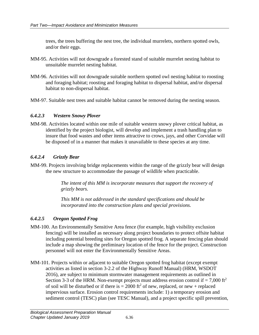trees, the trees buffering the nest tree, the individual murrelets, northern spotted owls, and/or their eggs.

- MM-95. Activities will not downgrade a forested stand of suitable murrelet nesting habitat to unsuitable murrelet nesting habitat.
- MM-96. Activities will not downgrade suitable northern spotted owl nesting habitat to roosting and foraging habitat; roosting and foraging habitat to dispersal habitat, and/or dispersal habitat to non-dispersal habitat.
- MM-97. Suitable nest trees and suitable habitat cannot be removed during the nesting season.

#### *6.4.2.3 Western Snowy Plover*

MM-98. Activities located within one mile of suitable western snowy plover critical habitat, as identified by the project biologist, will develop and implement a trash handling plan to insure that food wastes and other items attractive to crows, jays, and other Corvidae will be disposed of in a manner that makes it unavailable to these species at any time.

# *6.4.2.4 Grizzly Bear*

MM-99. Projects involving bridge replacements within the range of the grizzly bear will design the new structure to accommodate the passage of wildlife when practicable.

> *The intent of this MM is incorporate measures that support the recovery of grizzly bears.*

*This MM is not addressed in the standard specifications and should be incorporated into the construction plans and special provisions.*

# *6.4.2.5 Oregon Spotted Frog*

- MM-100. An Environmentally Sensitive Area fence (for example, high visibility exclusion fencing) will be installed as necessary along project boundaries to protect offsite habitat including potential breeding sites for Oregon spotted frog. A separate fencing plan should include a map showing the preliminary location of the fence for the project. Construction personnel will not enter the Environmentally Sensitive Areas.
- MM-101. Projects within or adjacent to suitable Oregon spotted frog habitat (except exempt activities as listed in section 3-2.2 of the Highway Runoff Manual) (HRM, WSDOT 2016), are subject to minimum stormwater management requirements as outlined in Section 3-3 of the HRM. Non-exempt projects must address erosion control if  $= 7,000$  ft<sup>2</sup> of soil will be disturbed or if there is  $= 2000$  ft<sup>2</sup> of new, replaced, or new + replaced impervious surface. Erosion control requirements include: 1) a temporary erosion and sediment control (TESC) plan (see TESC Manual), and a project specific spill prevention,